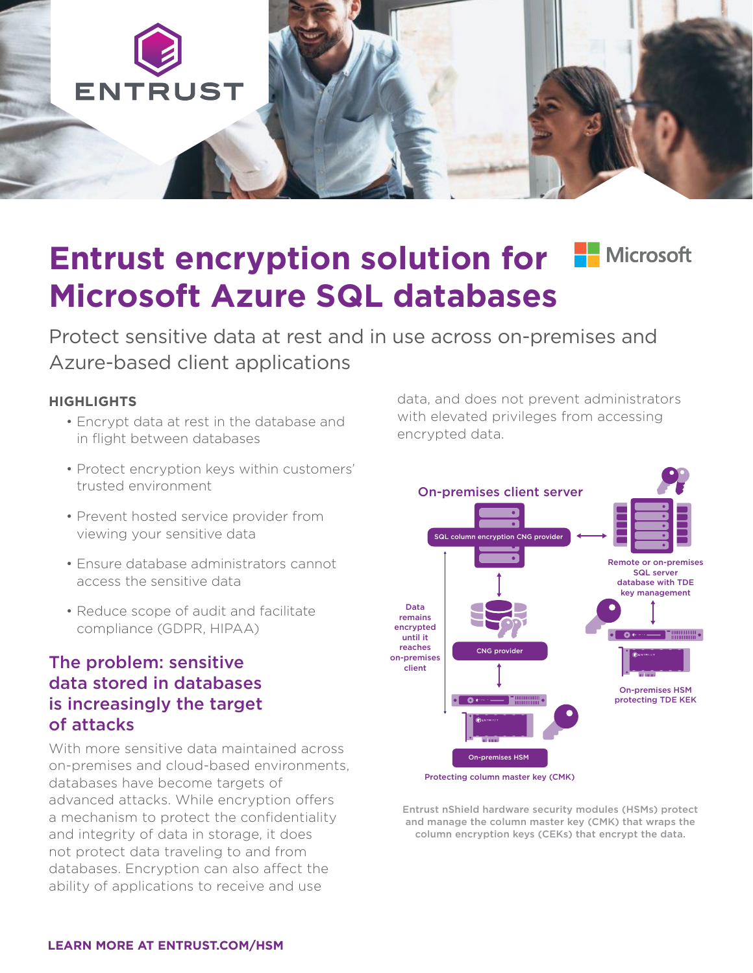

# **Entrust encryption solution for FI Microsoft Microsoft Azure SQL databases**

Protect sensitive data at rest and in use across on-premises and Azure-based client applications

#### **HIGHLIGHTS**

- Encrypt data at rest in the database and in flight between databases
- Protect encryption keys within customers' trusted environment
- Prevent hosted service provider from viewing your sensitive data
- Ensure database administrators cannot access the sensitive data
- Reduce scope of audit and facilitate compliance (GDPR, HIPAA)

#### The problem: sensitive data stored in databases is increasingly the target of attacks

With more sensitive data maintained across on-premises and cloud-based environments, databases have become targets of advanced attacks. While encryption offers a mechanism to protect the confidentiality and integrity of data in storage, it does not protect data traveling to and from databases. Encryption can also affect the ability of applications to receive and use

data, and does not prevent administrators with elevated privileges from accessing encrypted data.



Protecting column master key (CMK)

Entrust nShield hardware security modules (HSMs) protect and manage the column master key (CMK) that wraps the column encryption keys (CEKs) that encrypt the data.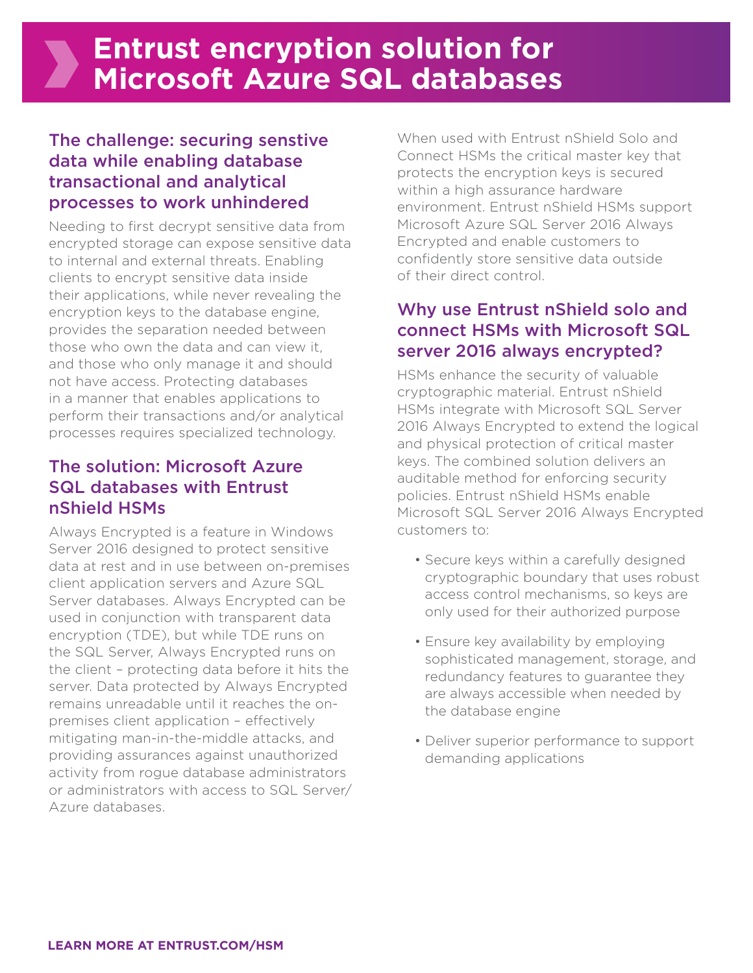## The challenge: securing senstive data while enabling database transactional and analytical processes to work unhindered

Needing to first decrypt sensitive data from encrypted storage can expose sensitive data to internal and external threats. Enabling clients to encrypt sensitive data inside their applications, while never revealing the encryption keys to the database engine, provides the separation needed between those who own the data and can view it, and those who only manage it and should not have access. Protecting databases in a manner that enables applications to perform their transactions and/or analytical processes requires specialized technology.

## The solution: Microsoft Azure SQL databases with Entrust nShield HSMs

Always Encrypted is a feature in Windows Server 2016 designed to protect sensitive data at rest and in use between on-premises client application servers and Azure SQL Server databases. Always Encrypted can be used in conjunction with transparent data encryption (TDE), but while TDE runs on the SQL Server, Always Encrypted runs on the client – protecting data before it hits the server. Data protected by Always Encrypted remains unreadable until it reaches the onpremises client application – effectively mitigating man-in-the-middle attacks, and providing assurances against unauthorized activity from rogue database administrators or administrators with access to SQL Server/ Azure databases.

When used with Entrust nShield Solo and Connect HSMs the critical master key that protects the encryption keys is secured within a high assurance hardware environment. Entrust nShield HSMs support Microsoft Azure SQL Server 2016 Always Encrypted and enable customers to confidently store sensitive data outside of their direct control.

## Why use Entrust nShield solo and connect HSMs with Microsoft SQL server 2016 always encrypted?

HSMs enhance the security of valuable cryptographic material. Entrust nShield HSMs integrate with Microsoft SQL Server 2016 Always Encrypted to extend the logical and physical protection of critical master keys. The combined solution delivers an auditable method for enforcing security policies. Entrust nShield HSMs enable Microsoft SQL Server 2016 Always Encrypted customers to:

- Secure keys within a carefully designed cryptographic boundary that uses robust access control mechanisms, so keys are only used for their authorized purpose
- Ensure key availability by employing sophisticated management, storage, and redundancy features to guarantee they are always accessible when needed by the database engine
- Deliver superior performance to support demanding applications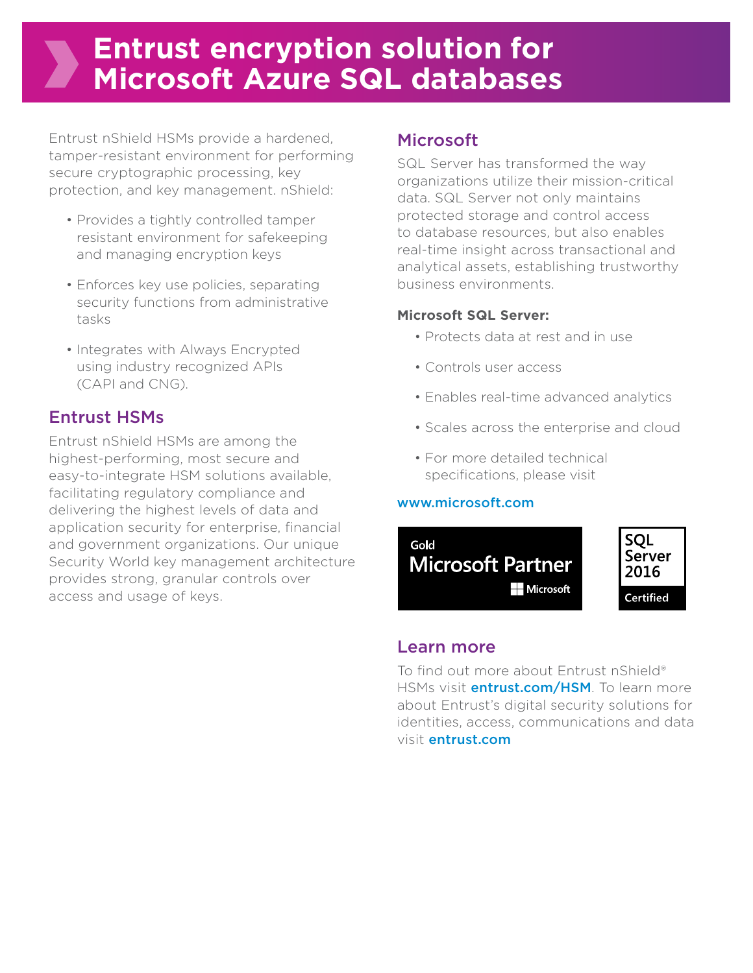## **Entrust encryption solution for Microsoft Azure SQL databases**

Entrust nShield HSMs provide a hardened, tamper-resistant environment for performing secure cryptographic processing, key protection, and key management. nShield:

- Provides a tightly controlled tamper resistant environment for safekeeping and managing encryption keys
- Enforces key use policies, separating security functions from administrative tasks
- Integrates with Always Encrypted using industry recognized APIs (CAPI and CNG).

## Entrust HSMs

Entrust nShield HSMs are among the highest-performing, most secure and easy-to-integrate HSM solutions available, facilitating regulatory compliance and delivering the highest levels of data and application security for enterprise, financial and government organizations. Our unique Security World key management architecture provides strong, granular controls over access and usage of keys.

### Microsoft

SQL Server has transformed the way organizations utilize their mission-critical data. SQL Server not only maintains protected storage and control access to database resources, but also enables real-time insight across transactional and analytical assets, establishing trustworthy business environments.

#### **Microsoft SQL Server:**

- Protects data at rest and in use
- Controls user access
- Enables real-time advanced analytics
- Scales across the enterprise and cloud
- For more detailed technical specifications, please visit

#### [www.microsoft.com](http://www.microsoft.com)



#### Learn more

To find out more about Entrust nShield® HSMs visit **[entrust.com/HSM](http://www.entrust.com/hsm)**. To learn more about Entrust's digital security solutions for identities, access, communications and data visit [entrust.com](http://www.entrust.com)